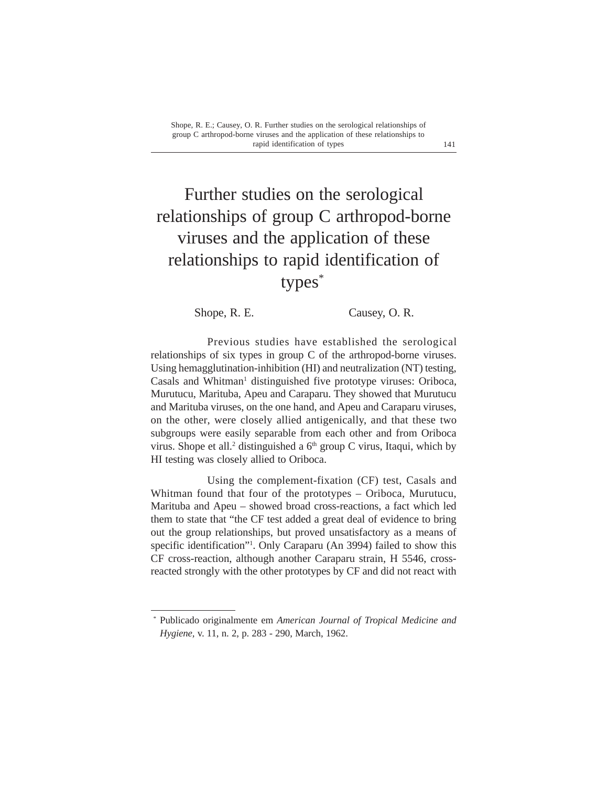# Further studies on the serological relationships of group C arthropod-borne viruses and the application of these relationships to rapid identification of types\*

Shope, R. E. Causey, O. R.

Previous studies have established the serological relationships of six types in group C of the arthropod-borne viruses. Using hemagglutination-inhibition (HI) and neutralization (NT) testing, Casals and Whitman<sup>1</sup> distinguished five prototype viruses: Oriboca, Murutucu, Marituba, Apeu and Caraparu. They showed that Murutucu and Marituba viruses, on the one hand, and Apeu and Caraparu viruses, on the other, were closely allied antigenically, and that these two subgroups were easily separable from each other and from Oriboca virus. Shope et all.<sup>2</sup> distinguished a  $6<sup>th</sup>$  group C virus, Itaqui, which by HI testing was closely allied to Oriboca.

Using the complement-fixation (CF) test, Casals and Whitman found that four of the prototypes – Oriboca, Murutucu, Marituba and Apeu – showed broad cross-reactions, a fact which led them to state that "the CF test added a great deal of evidence to bring out the group relationships, but proved unsatisfactory as a means of specific identification"<sup>1</sup>. Only Caraparu (An 3994) failed to show this CF cross-reaction, although another Caraparu strain, H 5546, crossreacted strongly with the other prototypes by CF and did not react with

<sup>\*</sup> Publicado originalmente em *American Journal of Tropical Medicine and Hygiene,* v. 11, n. 2, p. 283 - 290, March, 1962.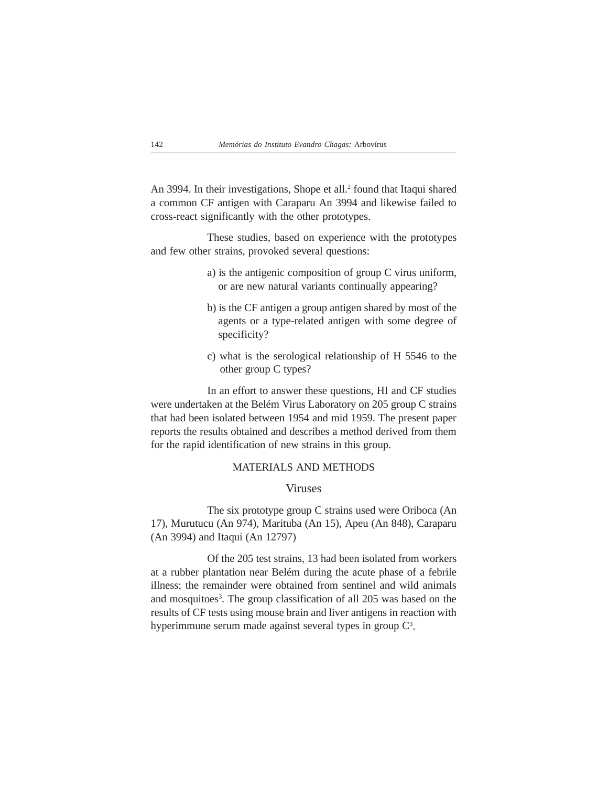An 3994. In their investigations, Shope et all.<sup>2</sup> found that Itaqui shared a common CF antigen with Caraparu An 3994 and likewise failed to cross-react significantly with the other prototypes.

These studies, based on experience with the prototypes and few other strains, provoked several questions:

- a) is the antigenic composition of group C virus uniform, or are new natural variants continually appearing?
- b) is the CF antigen a group antigen shared by most of the agents or a type-related antigen with some degree of specificity?
- c) what is the serological relationship of H 5546 to the other group C types?

In an effort to answer these questions, HI and CF studies were undertaken at the Belém Virus Laboratory on 205 group C strains that had been isolated between 1954 and mid 1959. The present paper reports the results obtained and describes a method derived from them for the rapid identification of new strains in this group.

### MATERIALS AND METHODS

## Viruses

The six prototype group C strains used were Oriboca (An 17), Murutucu (An 974), Marituba (An 15), Apeu (An 848), Caraparu (An 3994) and Itaqui (An 12797)

Of the 205 test strains, 13 had been isolated from workers at a rubber plantation near Belém during the acute phase of a febrile illness; the remainder were obtained from sentinel and wild animals and mosquitoes<sup>3</sup>. The group classification of all 205 was based on the results of CF tests using mouse brain and liver antigens in reaction with hyperimmune serum made against several types in group  $C<sup>3</sup>$ .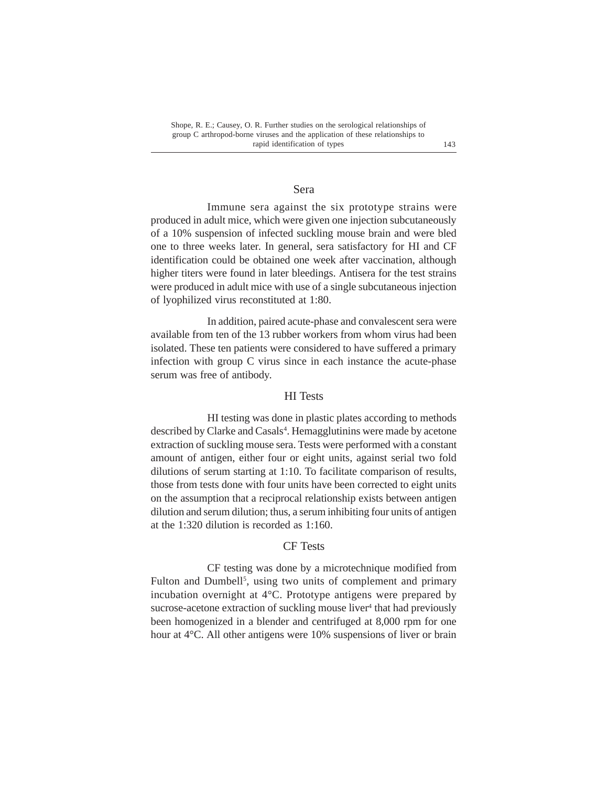#### Sera

Immune sera against the six prototype strains were produced in adult mice, which were given one injection subcutaneously of a 10% suspension of infected suckling mouse brain and were bled one to three weeks later. In general, sera satisfactory for HI and CF identification could be obtained one week after vaccination, although higher titers were found in later bleedings. Antisera for the test strains were produced in adult mice with use of a single subcutaneous injection of lyophilized virus reconstituted at 1:80.

In addition, paired acute-phase and convalescent sera were available from ten of the 13 rubber workers from whom virus had been isolated. These ten patients were considered to have suffered a primary infection with group C virus since in each instance the acute-phase serum was free of antibody.

## HI Tests

HI testing was done in plastic plates according to methods described by Clarke and Casals<sup>4</sup>. Hemagglutinins were made by acetone extraction of suckling mouse sera. Tests were performed with a constant amount of antigen, either four or eight units, against serial two fold dilutions of serum starting at 1:10. To facilitate comparison of results, those from tests done with four units have been corrected to eight units on the assumption that a reciprocal relationship exists between antigen dilution and serum dilution; thus, a serum inhibiting four units of antigen at the 1:320 dilution is recorded as 1:160.

## CF Tests

CF testing was done by a microtechnique modified from Fulton and Dumbell<sup>5</sup>, using two units of complement and primary incubation overnight at 4°C. Prototype antigens were prepared by sucrose-acetone extraction of suckling mouse liver<sup>4</sup> that had previously been homogenized in a blender and centrifuged at 8,000 rpm for one hour at 4°C. All other antigens were 10% suspensions of liver or brain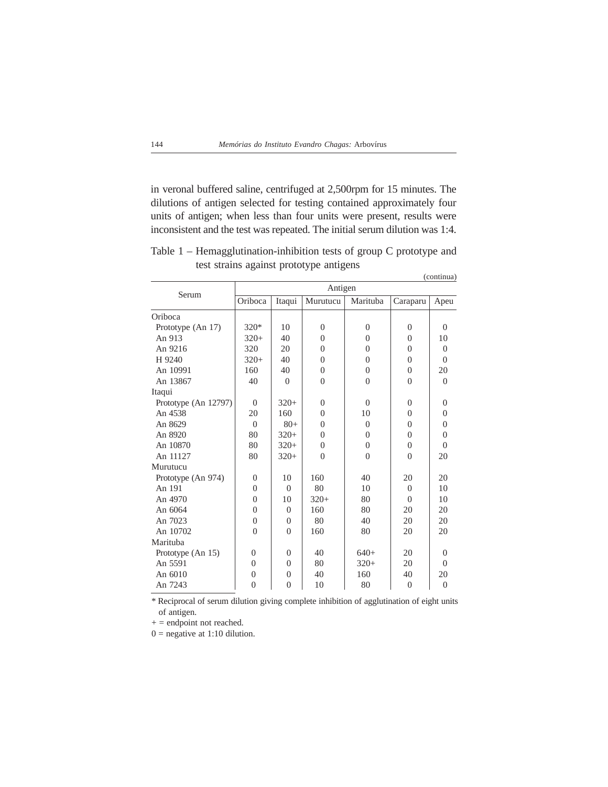in veronal buffered saline, centrifuged at 2,500rpm for 15 minutes. The dilutions of antigen selected for testing contained approximately four units of antigen; when less than four units were present, results were inconsistent and the test was repeated. The initial serum dilution was 1:4.

|                      | O        | -11            | J F<br>$\circ$ |                |                | (continua)     |  |  |  |  |
|----------------------|----------|----------------|----------------|----------------|----------------|----------------|--|--|--|--|
|                      | Antigen  |                |                |                |                |                |  |  |  |  |
| Serum                | Oriboca  | Itaqui         | Murutucu       | Marituba       | Caraparu       | Apeu           |  |  |  |  |
| Oriboca              |          |                |                |                |                |                |  |  |  |  |
| Prototype (An 17)    | $320*$   | 10             | $\overline{0}$ | $\overline{0}$ | $\overline{0}$ | $\Omega$       |  |  |  |  |
| An 913               | $320+$   | 40             | $\Omega$       | $\theta$       | $\Omega$       | 10             |  |  |  |  |
| An 9216              | 320      | 20             | $\theta$       | $\theta$       | $\Omega$       | $\Omega$       |  |  |  |  |
| H 9240               | $320+$   | 40             | $\theta$       | $\theta$       | $\Omega$       | $\Omega$       |  |  |  |  |
| An 10991             | 160      | 40             | $\overline{0}$ | $\theta$       | $\Omega$       | 20             |  |  |  |  |
| An 13867             | 40       | $\theta$       | $\theta$       | $\theta$       | $\Omega$       | $\Omega$       |  |  |  |  |
| Itaqui               |          |                |                |                |                |                |  |  |  |  |
| Prototype (An 12797) | $\Omega$ | $320+$         | $\Omega$       | $\Omega$       | $\Omega$       | $\Omega$       |  |  |  |  |
| An 4538              | 20       | 160            | $\theta$       | 10             | $\Omega$       | $\theta$       |  |  |  |  |
| An 8629              | $\Omega$ | $80+$          | $\theta$       | $\Omega$       | $\Omega$       | $\theta$       |  |  |  |  |
| An 8920              | 80       | $320+$         | $\theta$       | $\theta$       | $\Omega$       | $\theta$       |  |  |  |  |
| An 10870             | 80       | $320+$         | $\Omega$       | $\theta$       | $\Omega$       | $\Omega$       |  |  |  |  |
| An 11127             | 80       | $320+$         | $\theta$       | $\theta$       | $\theta$       | 20             |  |  |  |  |
| Murutucu             |          |                |                |                |                |                |  |  |  |  |
| Prototype (An 974)   | $\Omega$ | 10             | 160            | 40             | 20             | 20             |  |  |  |  |
| An 191               | $\Omega$ | $\Omega$       | 80             | 10             | $\Omega$       | 10             |  |  |  |  |
| An 4970              | $\Omega$ | 10             | $320+$         | 80             | $\theta$       | 10             |  |  |  |  |
| An 6064              | $\theta$ | $\Omega$       | 160            | 80             | 20             | 20             |  |  |  |  |
| An 7023              | $\theta$ | $\Omega$       | 80             | 40             | 20             | 20             |  |  |  |  |
| An 10702             | $\Omega$ | $\Omega$       | 160            | 80             | 20             | 20             |  |  |  |  |
| Marituba             |          |                |                |                |                |                |  |  |  |  |
| Prototype (An 15)    | $\Omega$ | $\Omega$       | 40             | $640+$         | 20             | $\Omega$       |  |  |  |  |
| An 5591              | $\Omega$ | $\Omega$       | 80             | $320+$         | 20             | $\Omega$       |  |  |  |  |
| An 6010              | $\Omega$ | $\Omega$       | 40             | 160            | 40             | 20             |  |  |  |  |
| An 7243              | $\theta$ | $\overline{0}$ | 10             | 80             | $\overline{0}$ | $\overline{0}$ |  |  |  |  |

Table 1 – Hemagglutination-inhibition tests of group C prototype and test strains against prototype antigens

\* Reciprocal of serum dilution giving complete inhibition of agglutination of eight units of antigen.

 $+=$  endpoint not reached.

 $0 =$  negative at 1:10 dilution.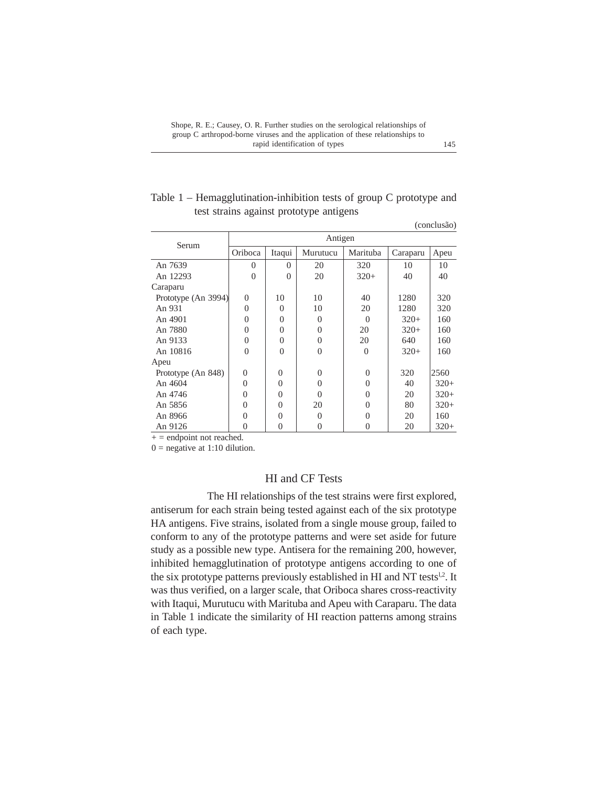| Table $1$ – Hemagglutination-inhibition tests of group C prototype and |  |
|------------------------------------------------------------------------|--|
| test strains against prototype antigens                                |  |

|                     |          |          |          |          |          | $($ COIICI $\mu$ <sub>2</sub> $\mu$ <sub>2</sub> |
|---------------------|----------|----------|----------|----------|----------|--------------------------------------------------|
| Serum               |          |          | Antigen  |          |          |                                                  |
|                     | Oriboca  | Itaqui   | Murutucu | Marituba | Caraparu | Apeu                                             |
| An 7639             | $\theta$ | $\Omega$ | 20       | 320      | 10       | 10                                               |
| An 12293            | $\Omega$ | $\Omega$ | 20       | $320+$   | 40       | 40                                               |
| Caraparu            |          |          |          |          |          |                                                  |
| Prototype (An 3994) | $\Omega$ | 10       | 10       | 40       | 1280     | 320                                              |
| An 931              | $\Omega$ | $\theta$ | 10       | 20       | 1280     | 320                                              |
| An 4901             | $\Omega$ | $\theta$ | $\Omega$ | $\Omega$ | $320+$   | 160                                              |
| An 7880             | $\Omega$ | $\theta$ | $\Omega$ | 20       | $320+$   | 160                                              |
| An 9133             | $\Omega$ | $\theta$ | $\Omega$ | 20       | 640      | 160                                              |
| An 10816            | $\Omega$ | $\Omega$ | $\Omega$ | $\Omega$ | $320+$   | 160                                              |
| Apeu                |          |          |          |          |          |                                                  |
| Prototype (An 848)  | $\theta$ | $\Omega$ | $\Omega$ | $\Omega$ | 320      | 2560                                             |
| An 4604             | $\theta$ | $\theta$ | $\Omega$ | $\Omega$ | 40       | $320+$                                           |
| An 4746             | 0        | $\theta$ | $\Omega$ | $\Omega$ | 20       | $320+$                                           |
| An 5856             | $\theta$ | $\theta$ | 20       | $\Omega$ | 80       | $320+$                                           |
| An 8966             | 0        | $\theta$ | $\Omega$ | 0        | 20       | 160                                              |
| An 9126             | 0        | $\theta$ | $\Omega$ | 0        | 20       | $320+$                                           |
|                     |          |          |          |          |          |                                                  |

 $+$  = endpoint not reached.

 $0$  = negative at 1:10 dilution.

# HI and CF Tests

The HI relationships of the test strains were first explored, antiserum for each strain being tested against each of the six prototype HA antigens. Five strains, isolated from a single mouse group, failed to conform to any of the prototype patterns and were set aside for future study as a possible new type. Antisera for the remaining 200, however, inhibited hemagglutination of prototype antigens according to one of the six prototype patterns previously established in HI and NT tests<sup>1,2</sup>. It was thus verified, on a larger scale, that Oriboca shares cross-reactivity with Itaqui, Murutucu with Marituba and Apeu with Caraparu. The data in Table 1 indicate the similarity of HI reaction patterns among strains of each type.

(conclusão)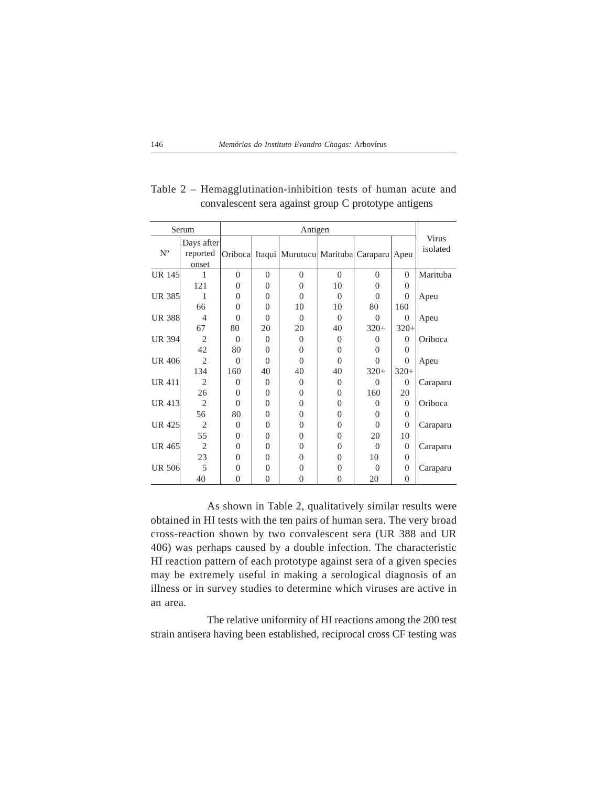|               | Serum                           |          |                | Antigen                                        |                |          |                  |                   |
|---------------|---------------------------------|----------|----------------|------------------------------------------------|----------------|----------|------------------|-------------------|
| $N^{o}$       | Days after<br>reported<br>onset |          |                | Oriboca Itaqui Murutucu Marituba Caraparu Apeu |                |          |                  | Virus<br>isolated |
| <b>UR 145</b> | 1                               | $\Omega$ | $\theta$       | $\theta$                                       | $\Omega$       | $\Omega$ | $\Omega$         | Marituba          |
|               | 121                             | $\Omega$ | $\Omega$       | $\Omega$                                       | 10             | $\Omega$ | $\Omega$         |                   |
| UR 385        | 1                               | $\Omega$ | $\Omega$       | $\Omega$                                       | $\Omega$       | $\Omega$ | $\Omega$         | Apeu              |
|               | 66                              | $\Omega$ | $\Omega$       | 10                                             | 10             | 80       | 160              |                   |
| <b>UR 388</b> | $\overline{4}$                  | $\Omega$ | $\Omega$       | $\Omega$                                       | $\Omega$       | $\Omega$ | $\overline{0}$   | Apeu              |
|               | 67                              | 80       | 20             | 20                                             | 40             | $320+$   | $320+$           |                   |
| <b>UR 394</b> | $\overline{2}$                  | $\Omega$ | $\Omega$       | $\Omega$                                       | $\Omega$       | $\Omega$ | $\Omega$         | Oriboca           |
|               | 42                              | 80       | $\Omega$       | $\Omega$                                       | 0              | $\Omega$ | $\theta$         |                   |
| <b>UR 406</b> | $\overline{c}$                  | $\Omega$ | $\Omega$       | $\Omega$                                       | $\theta$       | $\Omega$ | $\overline{0}$   | Apeu              |
|               | 134                             | 160      | 40             | 40                                             | 40             | $320+$   | $320+$           |                   |
| <b>UR 411</b> | 2                               | $\Omega$ | $\Omega$       | $\Omega$                                       | $\Omega$       | $\Omega$ | $\overline{0}$   | Caraparu          |
|               | 26                              | $\Omega$ | $\Omega$       | $\Omega$                                       | 0              | 160      | 20               |                   |
| UR 413        | $\overline{c}$                  | $\Omega$ | $\Omega$       | $\theta$                                       | 0              | $\Omega$ | $\Omega$         | Oriboca           |
|               | 56                              | 80       | $\Omega$       | $\theta$                                       | $\theta$       | $\Omega$ | $\Omega$         |                   |
| UR 425        | $\overline{2}$                  | $\Omega$ | $\Omega$       | $\Omega$                                       | $\overline{0}$ | $\Omega$ | $\overline{0}$   | Caraparu          |
|               | 55                              | $\Omega$ | $\Omega$       | $\theta$                                       | $\theta$       | 20       | 10               |                   |
| UR 465        | $\overline{c}$                  | $\theta$ | $\Omega$       | $\Omega$                                       | $\Omega$       | $\Omega$ | $\overline{0}$   | Caraparu          |
|               | 23                              | $\Omega$ | $\Omega$       | $\Omega$                                       | $\Omega$       | 10       | $\Omega$         |                   |
| <b>UR 506</b> | 5                               | $\Omega$ | $\theta$       | 0                                              | $\overline{0}$ | $\Omega$ | $\boldsymbol{0}$ | Caraparu          |
|               | 40                              | $\Omega$ | $\overline{0}$ | $\theta$                                       | $\overline{0}$ | 20       | $\theta$         |                   |

## Table 2 – Hemagglutination-inhibition tests of human acute and convalescent sera against group C prototype antigens

As shown in Table 2, qualitatively similar results were obtained in HI tests with the ten pairs of human sera. The very broad cross-reaction shown by two convalescent sera (UR 388 and UR 406) was perhaps caused by a double infection. The characteristic HI reaction pattern of each prototype against sera of a given species may be extremely useful in making a serological diagnosis of an illness or in survey studies to determine which viruses are active in an area.

The relative uniformity of HI reactions among the 200 test strain antisera having been established, reciprocal cross CF testing was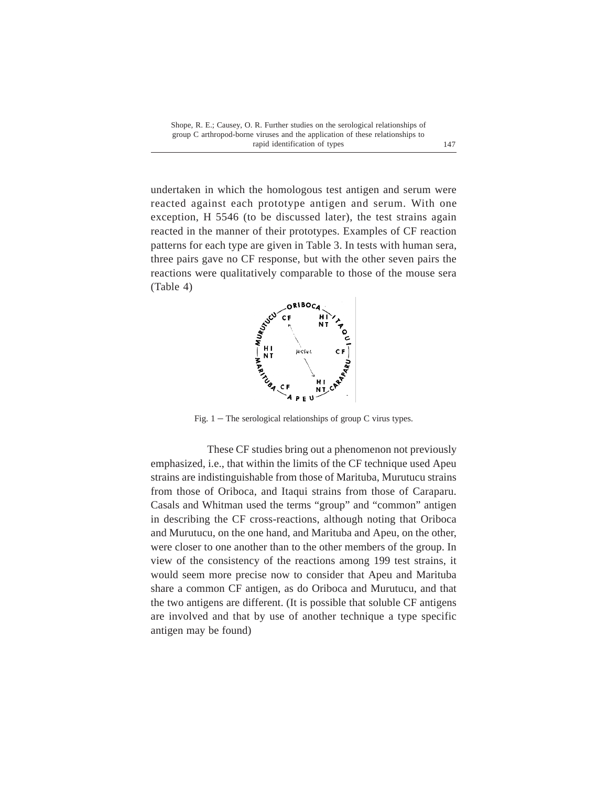undertaken in which the homologous test antigen and serum were reacted against each prototype antigen and serum. With one exception, H 5546 (to be discussed later), the test strains again reacted in the manner of their prototypes. Examples of CF reaction patterns for each type are given in Table 3. In tests with human sera, three pairs gave no CF response, but with the other seven pairs the reactions were qualitatively comparable to those of the mouse sera (Table 4)



Fig.  $1 -$  The serological relationships of group C virus types.

These CF studies bring out a phenomenon not previously emphasized, i.e., that within the limits of the CF technique used Apeu strains are indistinguishable from those of Marituba, Murutucu strains from those of Oriboca, and Itaqui strains from those of Caraparu. Casals and Whitman used the terms "group" and "common" antigen in describing the CF cross-reactions, although noting that Oriboca and Murutucu, on the one hand, and Marituba and Apeu, on the other, were closer to one another than to the other members of the group. In view of the consistency of the reactions among 199 test strains, it would seem more precise now to consider that Apeu and Marituba share a common CF antigen, as do Oriboca and Murutucu, and that the two antigens are different. (It is possible that soluble CF antigens are involved and that by use of another technique a type specific antigen may be found)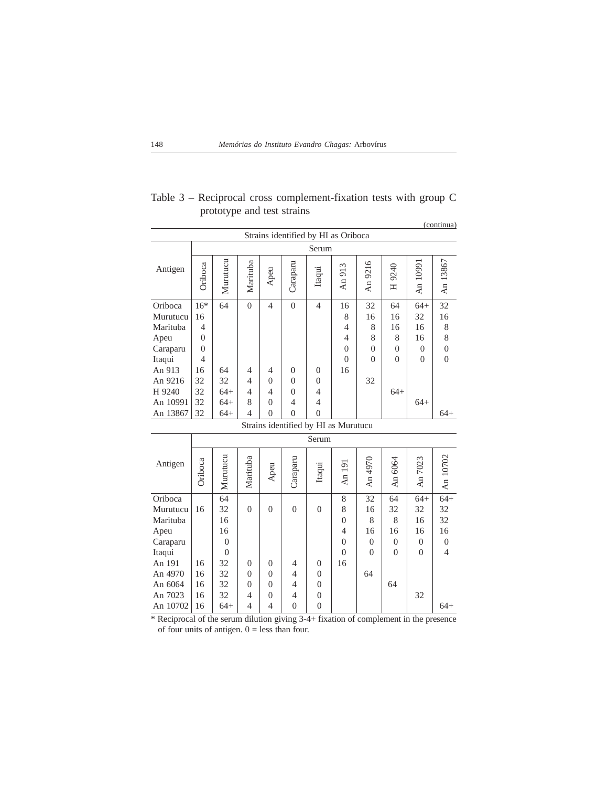|                                      |                |                 |                |                |                |                |                |                |                |                | (continua)     |
|--------------------------------------|----------------|-----------------|----------------|----------------|----------------|----------------|----------------|----------------|----------------|----------------|----------------|
| Strains identified by HI as Oriboca  |                |                 |                |                |                |                |                |                |                |                |                |
|                                      |                |                 |                |                |                | Serum          |                |                |                |                |                |
| Antigen                              | Oriboca        | Murutucu        | Marituba       | Apeu           | Caraparu       | Itaqui         | An 913         | An 9216        | H 9240         | An 1099        | An 13867       |
| Oriboca                              | $16*$          | 64              | $\mathbf{0}$   | $\overline{4}$ | $\theta$       | $\overline{4}$ | 16             | 32             | 64             | $64+$          | 32             |
| Murutucu                             | 16             |                 |                |                |                |                | 8              | 16             | 16             | 32             | 16             |
| Marituba                             | $\overline{4}$ |                 |                |                |                |                | $\overline{4}$ | 8              | 16             | 16             | 8              |
| Apeu                                 | $\Omega$       |                 |                |                |                |                | $\overline{4}$ | 8              | 8              | 16             | 8              |
| Caraparu                             | $\Omega$       |                 |                |                |                |                | $\theta$       | $\overline{0}$ | $\overline{0}$ | $\overline{0}$ | $\overline{0}$ |
| Itaqui                               | $\overline{4}$ |                 |                |                |                |                | $\theta$       | $\theta$       | $\theta$       | $\theta$       | $\overline{0}$ |
| An 913                               | 16             | 64              | $\overline{4}$ | 4              | $\Omega$       | $\Omega$       | 16             |                |                |                |                |
| An 9216                              | 32             | 32              | $\overline{4}$ | $\theta$       | $\theta$       | $\theta$       |                | 32             |                |                |                |
| H 9240                               | 32             | $64+$           | $\overline{4}$ | 4              | $\theta$       | $\overline{4}$ |                |                | $64+$          |                |                |
| An 10991                             | 32             | $64+$           | 8              | 0              | 4              | $\overline{4}$ |                |                |                | $64+$          |                |
| An 13867                             | 32             | $64+$           | $\overline{4}$ | $\Omega$       | $\theta$       | $\theta$       |                |                |                |                | $64+$          |
| Strains identified by HI as Murutucu |                |                 |                |                |                |                |                |                |                |                |                |
|                                      |                |                 |                |                |                | Serum          |                |                |                |                |                |
| Antigen                              | Oriboca        | Murutucu        | Marituba       | Apeu           | Caraparu       | Itaqui         | An 191         | An 4970        | An 6064        | An 7023        | An 10702       |
| Oriboca                              |                | $\overline{64}$ |                |                |                |                | 8              | 32             | 64             | $64+$          | $\frac{64}{ }$ |
| Murutucu                             | 16             | 32              | $\theta$       | $\Omega$       | $\Omega$       | $\theta$       | 8              | 16             | 32             | 32             | 32             |
| Marituba                             |                | 16              |                |                |                |                | $\theta$       | 8              | 8              | 16             | 32             |
| Apeu                                 |                | 16              |                |                |                |                | $\overline{4}$ | 16             | 16             | 16             | 16             |
| Caraparu                             |                | $\Omega$        |                |                |                |                | $\Omega$       | $\Omega$       | $\Omega$       | $\Omega$       | $\overline{0}$ |
| Itaqui                               |                | $\Omega$        |                |                |                |                | $\Omega$       | $\Omega$       | $\Omega$       | $\Omega$       | $\overline{4}$ |
| An 191                               | 16             | 32              | $\theta$       | $\Omega$       | 4              | $\Omega$       | 16             |                |                |                |                |
| An 4970                              | 16             | 32              | $\theta$       | $\Omega$       | 4              | $\Omega$       |                | 64             |                |                |                |
| An 6064                              | 16             | 32              | $\theta$       | $\Omega$       | $\overline{4}$ | $\Omega$       |                |                | 64             |                |                |
| An 7023                              | 16             | 32              | $\overline{4}$ | 0              | $\overline{4}$ | $\theta$       |                |                |                | 32             |                |
| An 10702                             | 16             | $64+$           | $\overline{4}$ | $\overline{4}$ | $\theta$       | $\theta$       |                |                |                |                | $64+$          |

Table 3 – Reciprocal cross complement-fixation tests with group C prototype and test strains

\* Reciprocal of the serum dilution giving 3-4+ fixation of complement in the presence of four units of antigen.  $0 =$  less than four.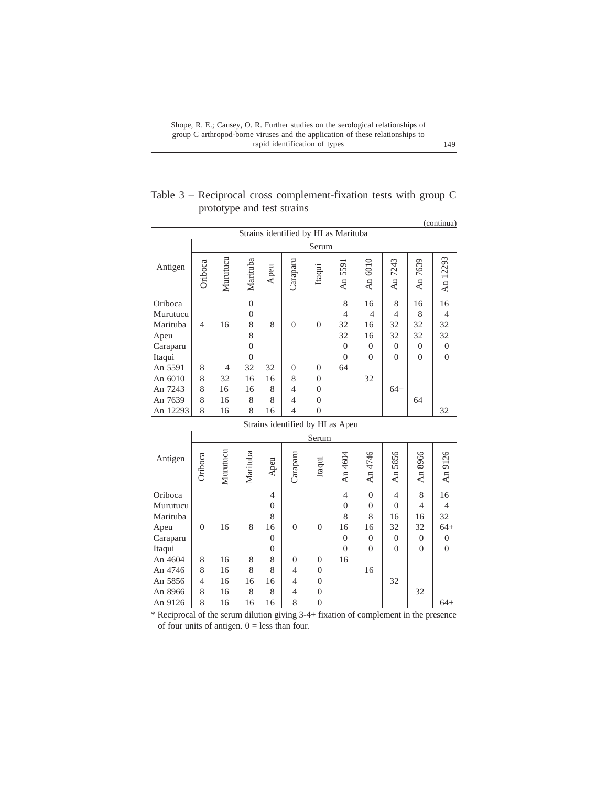|                            | Table $3$ – Reciprocal cross complement-fixation tests with group C |  |  |  |
|----------------------------|---------------------------------------------------------------------|--|--|--|
| prototype and test strains |                                                                     |  |  |  |

|                                                                                                |                               |                           |                                                                          |                                                                  |                                                        |                                                        |                                                                     |                                                               |                                                                      |                                                         | (continua)                                                        |
|------------------------------------------------------------------------------------------------|-------------------------------|---------------------------|--------------------------------------------------------------------------|------------------------------------------------------------------|--------------------------------------------------------|--------------------------------------------------------|---------------------------------------------------------------------|---------------------------------------------------------------|----------------------------------------------------------------------|---------------------------------------------------------|-------------------------------------------------------------------|
|                                                                                                |                               |                           |                                                                          |                                                                  |                                                        | Serum                                                  | Strains identified by HI as Marituba                                |                                                               |                                                                      |                                                         |                                                                   |
| Antigen                                                                                        | Oriboca                       | Murutucu                  | Marituba                                                                 | Apeu                                                             | Caraparu                                               | Itaqui                                                 | An 5591                                                             | An 6010                                                       | An 7243                                                              | An 7639                                                 | An 12293                                                          |
| Oriboca<br>Murutucu<br>Marituba<br>Apeu<br>Caraparu<br>Itaqui                                  | $\overline{4}$                | 16                        | $\overline{0}$<br>$\overline{0}$<br>8<br>8<br>$\overline{0}$<br>$\theta$ | 8                                                                | $\theta$                                               | $\theta$                                               | 8<br>$\overline{4}$<br>32<br>32<br>$\Omega$<br>$\theta$             | 16<br>4<br>16<br>16<br>$\Omega$<br>$\Omega$                   | 8<br>$\overline{4}$<br>32<br>32<br>$\Omega$<br>$\theta$              | 16<br>8<br>32<br>32<br>$\Omega$<br>$\theta$             | 16<br>$\overline{4}$<br>32<br>32<br>$\mathbf{0}$<br>$\theta$      |
| An 5591<br>An 6010<br>An 7243<br>An 7639<br>An 12293                                           | 8<br>8<br>8<br>8<br>8         | 4<br>32<br>16<br>16<br>16 | 32<br>16<br>16<br>8<br>8                                                 | 32<br>16<br>8<br>8<br>16                                         | $\Omega$<br>8<br>$\overline{4}$<br>$\overline{4}$<br>4 | $\theta$<br>$\Omega$<br>0<br>$\theta$<br>$\theta$      | 64                                                                  | 32                                                            | $64+$                                                                | 64                                                      | 32                                                                |
|                                                                                                |                               |                           |                                                                          |                                                                  |                                                        |                                                        | Strains identified by HI as Apeu                                    |                                                               |                                                                      |                                                         |                                                                   |
|                                                                                                |                               |                           |                                                                          |                                                                  |                                                        | Serum                                                  |                                                                     |                                                               |                                                                      |                                                         |                                                                   |
| Antigen                                                                                        | Oriboca                       | Murutucu                  | Marituba                                                                 | Apeu                                                             | Caraparu                                               | Itaqui                                                 | An 4604                                                             | An 4746                                                       | An 5856                                                              | An 8966                                                 | An 9126                                                           |
| Oriboca<br>Murutucu<br>Marituba<br>Apeu<br>Caraparu<br>Itaqui<br>An 4604<br>An 4746<br>An 5856 | $\overline{0}$<br>8<br>8<br>4 | 16<br>16<br>16<br>16      | 8<br>8<br>8<br>16                                                        | 4<br>$\theta$<br>8<br>16<br>$\Omega$<br>$\theta$<br>8<br>8<br>16 | $\theta$<br>$\theta$<br>$\overline{4}$<br>4            | $\Omega$<br>$\Omega$<br>$\mathbf{0}$<br>$\overline{0}$ | $\overline{4}$<br>$\theta$<br>8<br>16<br>$\theta$<br>$\Omega$<br>16 | $\Omega$<br>$\theta$<br>8<br>16<br>$\theta$<br>$\theta$<br>16 | $\overline{4}$<br>$\theta$<br>16<br>32<br>$\Omega$<br>$\theta$<br>32 | 8<br>$\overline{4}$<br>16<br>32<br>$\Omega$<br>$\theta$ | 16<br>$\overline{4}$<br>32<br>$64+$<br>$\overline{0}$<br>$\theta$ |
| An 8966<br>An 9126                                                                             | 8<br>8                        | 16<br>16                  | 8<br>16                                                                  | 8<br>16                                                          | 4<br>8                                                 | $\mathbf{0}$<br>$\Omega$                               |                                                                     |                                                               |                                                                      | 32                                                      | $64+$                                                             |

\* Reciprocal of the serum dilution giving 3-4+ fixation of complement in the presence of four units of antigen.  $0 =$  less than four.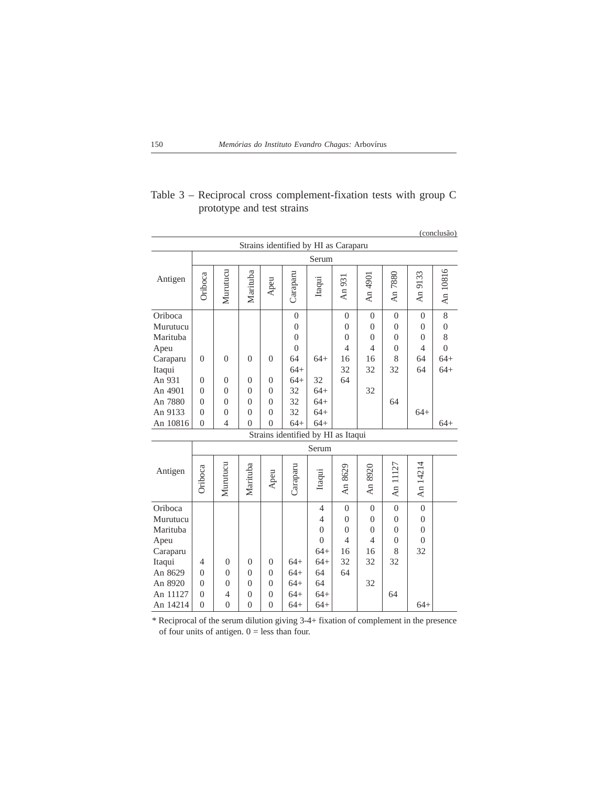|                                                                                                                      |                                                                                  |                                                                                        |                                                                                        |                                                                            |                                                                                                 |                                                                                                          |                                                                      |                                                                      |                                                                     |                                                                   | (conclusão)                                                   |
|----------------------------------------------------------------------------------------------------------------------|----------------------------------------------------------------------------------|----------------------------------------------------------------------------------------|----------------------------------------------------------------------------------------|----------------------------------------------------------------------------|-------------------------------------------------------------------------------------------------|----------------------------------------------------------------------------------------------------------|----------------------------------------------------------------------|----------------------------------------------------------------------|---------------------------------------------------------------------|-------------------------------------------------------------------|---------------------------------------------------------------|
|                                                                                                                      |                                                                                  |                                                                                        |                                                                                        |                                                                            | Strains identified by HI as Caraparu                                                            |                                                                                                          |                                                                      |                                                                      |                                                                     |                                                                   |                                                               |
|                                                                                                                      |                                                                                  |                                                                                        |                                                                                        |                                                                            |                                                                                                 | Serum                                                                                                    |                                                                      |                                                                      |                                                                     |                                                                   |                                                               |
| Antigen                                                                                                              | Oriboca                                                                          | Murutucu                                                                               | Marituba                                                                               | Apeu                                                                       | Caraparu                                                                                        | Itaqui                                                                                                   | An 931                                                               | An 4901                                                              | An 7880                                                             | An 9133                                                           | An 10816                                                      |
| Oriboca<br>Murutucu<br>Marituba<br>Apeu<br>Caraparu<br>Itaqui<br>An 931<br>An 4901<br>An 7880<br>An 9133<br>An 10816 | $\overline{0}$<br>$\theta$<br>$\theta$<br>$\theta$<br>$\theta$<br>$\overline{0}$ | $\overline{0}$<br>$\overline{0}$<br>$\theta$<br>$\theta$<br>$\theta$<br>$\overline{4}$ | $\overline{0}$<br>$\overline{0}$<br>$\theta$<br>$\theta$<br>$\theta$<br>$\overline{0}$ | $\overline{0}$<br>$\Omega$<br>$\Omega$<br>$\Omega$<br>$\theta$<br>$\theta$ | $\theta$<br>$\theta$<br>$\theta$<br>$\theta$<br>64<br>$64+$<br>$64+$<br>32<br>32<br>32<br>$64+$ | $64+$<br>32<br>$64+$<br>$64+$<br>$64+$<br>$64+$                                                          | $\Omega$<br>$\theta$<br>$\theta$<br>$\overline{4}$<br>16<br>32<br>64 | $\Omega$<br>$\theta$<br>$\theta$<br>$\overline{4}$<br>16<br>32<br>32 | $\theta$<br>$\theta$<br>$\theta$<br>$\theta$<br>8<br>32<br>64       | $\Omega$<br>$\theta$<br>$\theta$<br>4<br>64<br>64<br>$64+$        | $8\,$<br>$\theta$<br>8<br>$\Omega$<br>$64+$<br>$64+$<br>$64+$ |
|                                                                                                                      |                                                                                  |                                                                                        |                                                                                        |                                                                            | Strains identified by HI as Itaqui                                                              |                                                                                                          |                                                                      |                                                                      |                                                                     |                                                                   |                                                               |
|                                                                                                                      |                                                                                  |                                                                                        |                                                                                        |                                                                            |                                                                                                 |                                                                                                          |                                                                      |                                                                      |                                                                     |                                                                   |                                                               |
|                                                                                                                      |                                                                                  |                                                                                        |                                                                                        |                                                                            |                                                                                                 | Serum                                                                                                    |                                                                      |                                                                      |                                                                     |                                                                   |                                                               |
| Antigen                                                                                                              | Oriboca                                                                          | Murutucu                                                                               | Marituba                                                                               | Apeu                                                                       | Caraparu                                                                                        | Itaqui                                                                                                   | An 8629                                                              | An 8920                                                              | An 11127                                                            | An 14214                                                          |                                                               |
| Oriboca<br>Murutucu<br>Marituba<br>Apeu<br>Caraparu<br>Itaqui<br>An 8629<br>An 8920<br>An 11127<br>An 14214          | $\overline{4}$<br>$\theta$<br>$\theta$<br>$\overline{0}$<br>$\overline{0}$       | $\Omega$<br>$\theta$<br>$\theta$<br>4<br>$\overline{0}$                                | $\overline{0}$<br>$\theta$<br>$\theta$<br>$\overline{0}$<br>$\overline{0}$             | $\Omega$<br>$\Omega$<br>$\theta$<br>$\theta$<br>$\theta$                   | $64+$<br>$64+$<br>$64+$<br>$64+$<br>$64+$                                                       | $\overline{4}$<br>$\overline{4}$<br>$\theta$<br>$\Omega$<br>$64+$<br>$64+$<br>64<br>64<br>$64+$<br>$64+$ | $\Omega$<br>$\Omega$<br>$\Omega$<br>4<br>16<br>32<br>64              | $\overline{0}$<br>$\Omega$<br>$\theta$<br>4<br>16<br>32<br>32        | $\overline{0}$<br>$\theta$<br>$\theta$<br>$\theta$<br>8<br>32<br>64 | $\theta$<br>$\overline{0}$<br>$\theta$<br>$\Omega$<br>32<br>$64+$ |                                                               |

## Table 3 – Reciprocal cross complement-fixation tests with group C prototype and test strains

\* Reciprocal of the serum dilution giving 3-4+ fixation of complement in the presence of four units of antigen.  $0 =$  less than four.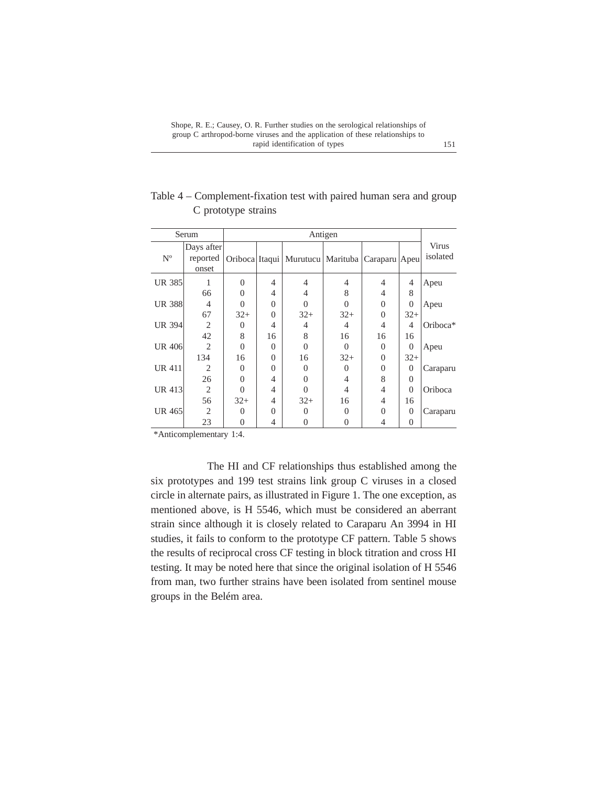|               | Serum                           |          |                |                                                        |                   |          |                |                   |
|---------------|---------------------------------|----------|----------------|--------------------------------------------------------|-------------------|----------|----------------|-------------------|
| $N^{\circ}$   | Days after<br>reported<br>onset |          |                | Oriboca Itaqui   Murutucu   Marituba   Caraparu   Apeu |                   |          |                | Virus<br>isolated |
| <b>UR 385</b> |                                 | $\Omega$ | $\overline{4}$ | 4                                                      | 4                 | 4        | 4              | Apeu              |
|               | 66                              | $\Omega$ | $\overline{4}$ | 4                                                      | 8                 | 4        | 8              |                   |
| <b>UR 388</b> | 4                               | $\Omega$ | $\Omega$       | 0                                                      | $\Omega$          | $\Omega$ | $\Omega$       | Apeu              |
|               | 67                              | $32+$    | $\Omega$       | $32+$                                                  | $32+$             | $\Omega$ | $32+$          |                   |
| <b>UR 394</b> | $\overline{2}$                  | $\Omega$ | 4              | 4                                                      | 4                 | 4        | $\overline{4}$ | Oriboca*          |
|               | 42                              | 8        | 16             | 8                                                      | 16                | 16       | 16             |                   |
| <b>UR 406</b> | $\overline{c}$                  | $\theta$ | $\Omega$       | $\Omega$                                               | $\Omega$          | $\Omega$ | $\Omega$       | Apeu              |
|               | 134                             | 16       | $\Omega$       | 16                                                     | $32+$             | $\Omega$ | $32+$          |                   |
| <b>UR 411</b> | $\overline{c}$                  | $\Omega$ | $\Omega$       | $\mathbf{\Omega}$                                      | $\mathbf{\Omega}$ | $\Omega$ | $\Omega$       | Caraparu          |
|               | 26                              | $\Omega$ | $\overline{4}$ | 0                                                      | $\overline{4}$    | 8        | $\Omega$       |                   |
| UR 413        | 2                               | $\Omega$ | $\overline{4}$ | 0                                                      | 4                 | 4        | $\Omega$       | Oriboca           |
|               | 56                              | $32+$    | $\overline{4}$ | $32+$                                                  | 16                | 4        | 16             |                   |
| UR 465        | $\overline{2}$                  | $\Omega$ | $\Omega$       | 0                                                      | 0                 | $\Omega$ | $\Omega$       | Caraparu          |
|               | 23                              | $\theta$ | $\overline{4}$ | 0                                                      | 0                 | 4        | $\overline{0}$ |                   |

Table 4 – Complement-fixation test with paired human sera and group C prototype strains

\*Anticomplementary 1:4.

The HI and CF relationships thus established among the six prototypes and 199 test strains link group C viruses in a closed circle in alternate pairs, as illustrated in Figure 1. The one exception, as mentioned above, is H 5546, which must be considered an aberrant strain since although it is closely related to Caraparu An 3994 in HI studies, it fails to conform to the prototype CF pattern. Table 5 shows the results of reciprocal cross CF testing in block titration and cross HI testing. It may be noted here that since the original isolation of H 5546 from man, two further strains have been isolated from sentinel mouse groups in the Belém area.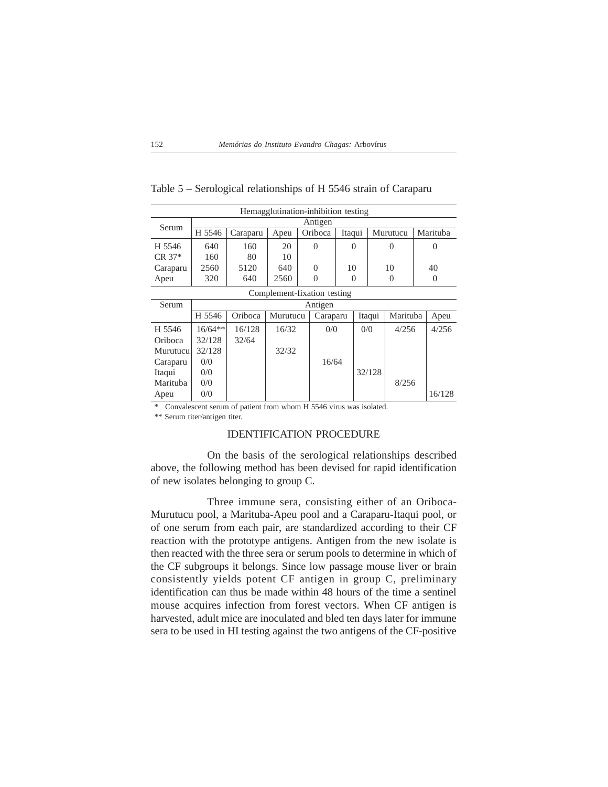| Hemagglutination-inhibition testing |           |          |          |          |                      |        |          |  |                |  |  |
|-------------------------------------|-----------|----------|----------|----------|----------------------|--------|----------|--|----------------|--|--|
| Serum                               | Antigen   |          |          |          |                      |        |          |  |                |  |  |
|                                     | H 5546    | Caraparu | Apeu     | Oriboca  | Itaqui               |        | Murutucu |  | Marituba       |  |  |
| H 5546                              | 640       | 160      | 20       | $\theta$ | 0                    |        | $\Omega$ |  | $\Omega$       |  |  |
| $CR \; 37*$                         | 160       | 80       | 10       |          |                      |        |          |  |                |  |  |
| Caraparu                            | 2560      | 5120     | 640      | $\Omega$ | 10                   |        | 10       |  | 40             |  |  |
| Apeu                                | 320       | 640      | 2560     | $\Omega$ | $\Omega$<br>$\Omega$ |        |          |  | $\overline{0}$ |  |  |
| Complement-fixation testing         |           |          |          |          |                      |        |          |  |                |  |  |
| Serum                               |           | Antigen  |          |          |                      |        |          |  |                |  |  |
|                                     | H 5546    | Oriboca  | Murutucu | Caraparu |                      | Itaqui | Marituba |  | Apeu           |  |  |
| H 5546                              | $16/64**$ | 16/128   | 16/32    | 0/0      |                      | 0/0    | 4/256    |  | 4/256          |  |  |
| Oriboca                             | 32/128    | 32/64    |          |          |                      |        |          |  |                |  |  |
| Murutucu                            | 32/128    |          | 32/32    |          |                      |        |          |  |                |  |  |
| Caraparu                            | 0/0       |          |          | 16/64    |                      |        |          |  |                |  |  |
| Itaqui                              | 0/0       |          |          |          |                      | 32/128 |          |  |                |  |  |
| Marituba                            | 0/0       |          |          |          |                      |        | 8/256    |  |                |  |  |
| Apeu                                | 0/0       |          |          |          |                      |        |          |  | 16/128         |  |  |

Table 5 – Serological relationships of H 5546 strain of Caraparu

\* Convalescent serum of patient from whom H 5546 virus was isolated.

\*\* Serum titer/antigen titer.

## IDENTIFICATION PROCEDURE

On the basis of the serological relationships described above, the following method has been devised for rapid identification of new isolates belonging to group C.

Three immune sera, consisting either of an Oriboca-Murutucu pool, a Marituba-Apeu pool and a Caraparu-Itaqui pool, or of one serum from each pair, are standardized according to their CF reaction with the prototype antigens. Antigen from the new isolate is then reacted with the three sera or serum pools to determine in which of the CF subgroups it belongs. Since low passage mouse liver or brain consistently yields potent CF antigen in group C, preliminary identification can thus be made within 48 hours of the time a sentinel mouse acquires infection from forest vectors. When CF antigen is harvested, adult mice are inoculated and bled ten days later for immune sera to be used in HI testing against the two antigens of the CF-positive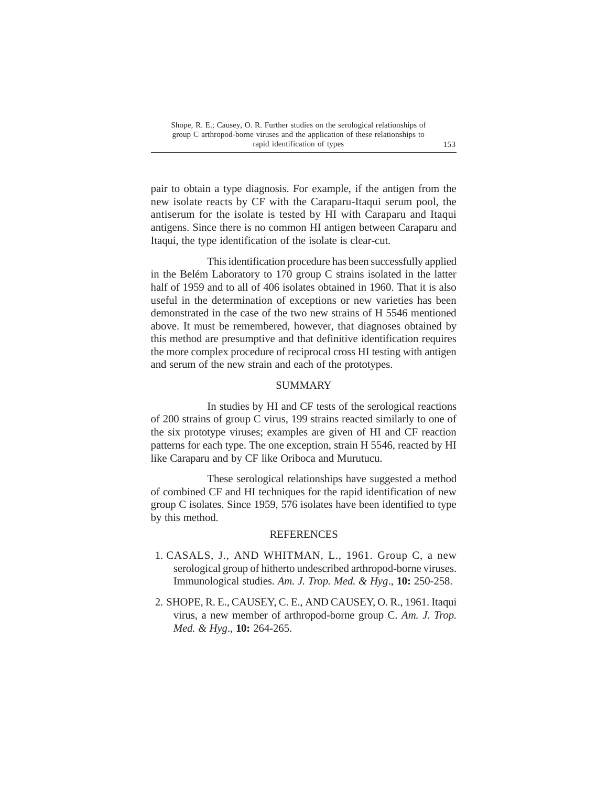pair to obtain a type diagnosis. For example, if the antigen from the new isolate reacts by CF with the Caraparu-Itaqui serum pool, the antiserum for the isolate is tested by HI with Caraparu and Itaqui antigens. Since there is no common HI antigen between Caraparu and Itaqui, the type identification of the isolate is clear-cut.

This identification procedure has been successfully applied in the Belém Laboratory to 170 group C strains isolated in the latter half of 1959 and to all of 406 isolates obtained in 1960. That it is also useful in the determination of exceptions or new varieties has been demonstrated in the case of the two new strains of H 5546 mentioned above. It must be remembered, however, that diagnoses obtained by this method are presumptive and that definitive identification requires the more complex procedure of reciprocal cross HI testing with antigen and serum of the new strain and each of the prototypes.

## SUMMARY

In studies by HI and CF tests of the serological reactions of 200 strains of group C virus, 199 strains reacted similarly to one of the six prototype viruses; examples are given of HI and CF reaction patterns for each type. The one exception, strain H 5546, reacted by HI like Caraparu and by CF like Oriboca and Murutucu.

These serological relationships have suggested a method of combined CF and HI techniques for the rapid identification of new group C isolates. Since 1959, 576 isolates have been identified to type by this method.

#### REFERENCES

- 1. CASALS, J., AND WHITMAN, L., 1961. Group C, a new serological group of hitherto undescribed arthropod-borne viruses. Immunological studies. *Am. J. Trop. Med. & Hyg*., **10:** 250-258.
- 2. SHOPE, R. E., CAUSEY, C. E., AND CAUSEY, O. R., 1961. Itaqui virus, a new member of arthropod-borne group C. *Am. J. Trop. Med. & Hyg*., **10:** 264-265.